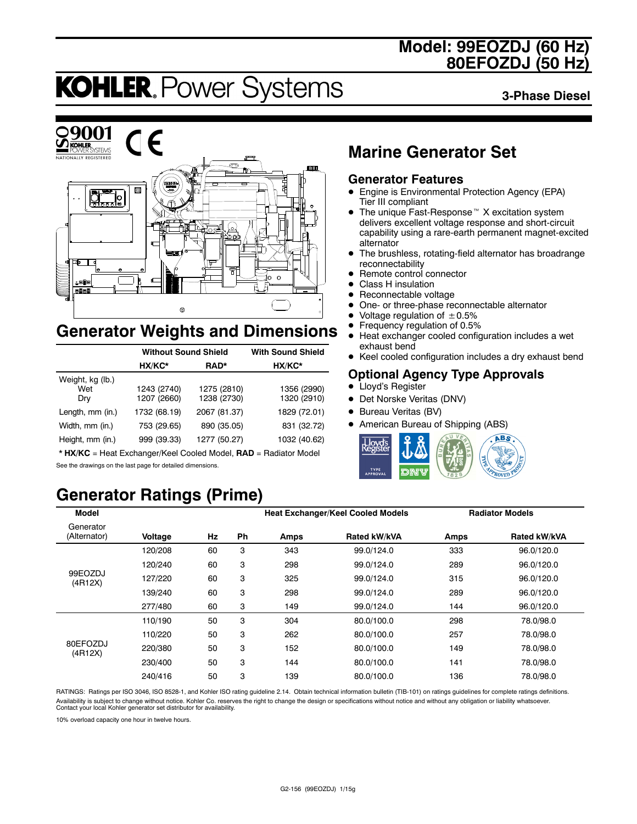# **Model: 99EOZDJ (60 Hz) 80EFOZDJ (50 Hz)**

# **KOHLER. Power Systems**

**3-Phase Diesel**



# **Generator Weights and Dimensions**

|                                | <b>Without Sound Shield</b> | <b>With Sound Shield</b>   |                            |
|--------------------------------|-----------------------------|----------------------------|----------------------------|
|                                | HX/KC*                      | RAD*                       | HX/KC*                     |
| Weight, kg (lb.)<br>Wet<br>Dry | 1243 (2740)<br>1207 (2660)  | 1275 (2810)<br>1238 (2730) | 1356 (2990)<br>1320 (2910) |
| Length, mm (in.)               | 1732 (68.19)                | 2067 (81.37)               | 1829 (72.01)               |
| Width, mm (in.)                | 753 (29.65)                 | 890 (35.05)                | 831 (32.72)                |
| Height, mm (in.)               | 999 (39.33)                 | 1277 (50.27)               | 1032 (40.62)               |

\* **HX/KC** = Heat Exchanger/Keel Cooled Model, **RAD** = Radiator Model See the drawings on the last page for detailed dimensions.

# **Generator Ratings (Prime)**

# **Marine Generator Set**

### **Generator Features**

- Engine is Environmental Protection Agency (EPA) Tier III compliant
- $\bullet$  The unique Fast-Response<sup> $M$ </sup> X excitation system delivers excellent voltage response and short-circuit capability using a rare-earth permanent magnet-excited alternator
- The brushless, rotating-field alternator has broadrange reconnectability
- Remote control connector
- Class H insulation
- $\bullet$  Reconnectable voltage
- One- or three-phase reconnectable alternator
- Voltage regulation of  $\pm 0.5\%$ <br>• Frequency regulation of 0.5%
- **•** Frequency regulation of 0.5%<br>• Heat exchanger cooled config
- Heat exchanger cooled configuration includes a wet exhaust bend
- Keel cooled configuration includes a dry exhaust bend

### **Optional Agency Type Approvals**

- Lloyd's Register
- Det Norske Veritas (DNV)
- Bureau Veritas (BV)
- American Bureau of Shipping (ABS)



| <b>Model</b>              |         |    |           |      | <b>Heat Exchanger/Keel Cooled Models</b> |      | <b>Radiator Models</b> |
|---------------------------|---------|----|-----------|------|------------------------------------------|------|------------------------|
| Generator<br>(Alternator) | Voltage | Hz | <b>Ph</b> | Amps | <b>Rated kW/kVA</b>                      | Amps | Rated kW/kVA           |
|                           | 120/208 | 60 | 3         | 343  | 99.0/124.0                               | 333  | 96.0/120.0             |
|                           | 120/240 | 60 | 3         | 298  | 99.0/124.0                               | 289  | 96.0/120.0             |
| 99EOZDJ<br>(4R12X)        | 127/220 | 60 | 3         | 325  | 99.0/124.0                               | 315  | 96.0/120.0             |
|                           | 139/240 | 60 | 3         | 298  | 99.0/124.0                               | 289  | 96.0/120.0             |
|                           | 277/480 | 60 | 3         | 149  | 99.0/124.0                               | 144  | 96.0/120.0             |
|                           | 110/190 | 50 | 3         | 304  | 80.0/100.0                               | 298  | 78.0/98.0              |
|                           | 110/220 | 50 | 3         | 262  | 80.0/100.0                               | 257  | 78.0/98.0              |
| 80EFOZDJ<br>(4R12X)       | 220/380 | 50 | 3         | 152  | 80.0/100.0                               | 149  | 78.0/98.0              |
|                           | 230/400 | 50 | 3         | 144  | 80.0/100.0                               | 141  | 78.0/98.0              |
|                           | 240/416 | 50 | 3         | 139  | 80.0/100.0                               | 136  | 78.0/98.0              |

RATINGS: Ratings per ISO 3046, ISO 8528-1, and Kohler ISO rating guideline 2.14. Obtain technical information bulletin (TIB-101) on ratings guidelines for complete ratings definitions. Availability is subject to change without notice. Kohler Co. reserves the right to change the design or specifications without notice and without any obligation or liability whatsoever. Contact your local Kohler generator set distributor for availability.

10% overload capacity one hour in twelve hours.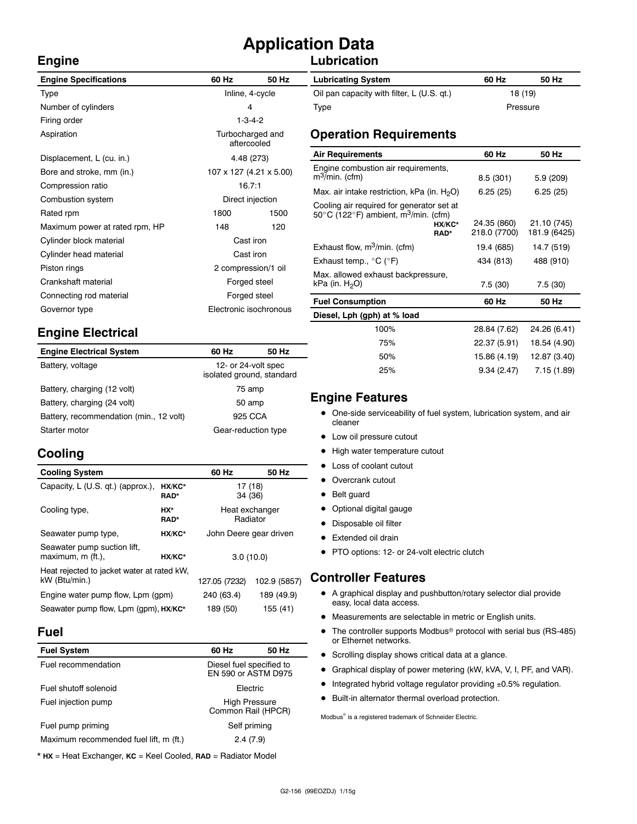# **Application Data**

### **Lubrication**

| <b>Engine Specifications</b>   | 60 Hz                           | 50 Hz            | <b>Lubricating System</b>                                            |  |
|--------------------------------|---------------------------------|------------------|----------------------------------------------------------------------|--|
| Type                           | Inline, 4-cycle                 |                  | Oil pan capacity with filter, L (U.S. qt.)                           |  |
| Number of cylinders            | 4                               |                  | Type                                                                 |  |
| Firing order                   |                                 | $1 - 3 - 4 - 2$  |                                                                      |  |
| Aspiration                     | Turbocharged and<br>aftercooled |                  | <b>Operation Requirements</b>                                        |  |
| Displacement, L (cu. in.)      |                                 | 4.48 (273)       | <b>Air Requirements</b>                                              |  |
| Bore and stroke, mm (in.)      | 107 x 127 (4.21 x 5.00)         |                  | Engine combustion air requirements,<br>$m^3$ /min. (cfm)             |  |
| Compression ratio              | 16.7:1                          |                  | Max. air intake restriction, kPa (in. $H_2O$ )                       |  |
| Combustion system              |                                 | Direct injection | Cooling air required for generator set at                            |  |
| Rated rpm                      | 1800<br>1500                    |                  | 50 $\degree$ C (122 $\degree$ F) ambient, m <sup>3</sup> /min. (cfm) |  |
| Maximum power at rated rpm, HP | 148                             | 120              | HX/KC*<br>RAD*                                                       |  |
| Cylinder block material        | Cast iron                       |                  |                                                                      |  |
| Cylinder head material         | Cast iron                       |                  | Exhaust flow, $m^3/m$ in. (cfm)                                      |  |
| Piston rings                   | 2 compression/1 oil             |                  | Exhaust temp., $^{\circ}$ C ( $^{\circ}$ F)                          |  |
| Crankshaft material            | Forged steel                    |                  | Max. allowed exhaust backpressure,<br>kPa (in. $H_2O$ )              |  |
| Connecting rod material        | Forged steel                    |                  |                                                                      |  |
| Governor type                  | Electronic isochronous          |                  | <b>Fuel Consumption</b>                                              |  |
|                                |                                 |                  | Diesel, Lph (gph) at % load                                          |  |

# **Engine Electrical**

| <b>Engine Electrical System</b>         | 60 Hz                                            | 50 Hz |  |
|-----------------------------------------|--------------------------------------------------|-------|--|
| Battery, voltage                        | 12- or 24-volt spec<br>isolated ground, standard |       |  |
| Battery, charging (12 volt)             | 75 amp                                           |       |  |
| Battery, charging (24 volt)             | 50 amp                                           |       |  |
| Battery, recommendation (min., 12 volt) | 925 CCA                                          |       |  |
| Starter motor                           | Gear-reduction type                              |       |  |

# **Cooling**

**Engine**

| <b>Cooling System</b>                                                      |                       | 60 Hz                      | 50 Hz                  |
|----------------------------------------------------------------------------|-----------------------|----------------------------|------------------------|
| Capacity, L (U.S. qt.) (approx.),                                          | HX/KC*<br><b>RAD*</b> | 17 (18)<br>34 (36)         |                        |
| Cooling type,                                                              | HX*<br><b>RAD*</b>    | Heat exchanger<br>Radiator |                        |
| Seawater pump type,                                                        | HX/KC*                | John Deere gear driven     |                        |
| Seawater pump suction lift,<br>maximum, m (ft.),                           | HX/KC*                | 3.0(10.0)                  |                        |
| Heat rejected to jacket water at rated kW,<br>kW (Btu/min.)                |                       | 127.05 (7232)              | 102.9 (5857)           |
| Engine water pump flow, Lpm (gpm)<br>Seawater pump flow, Lpm (gpm), HX/KC* |                       | 240 (63.4)<br>189 (50)     | 189 (49.9)<br>155 (41) |

#### **Fuel**

| <b>Fuel System</b>                     | 60 Hz                                      | 50 Hz                                           |  |
|----------------------------------------|--------------------------------------------|-------------------------------------------------|--|
| Fuel recommendation                    |                                            | Diesel fuel specified to<br>EN 590 or ASTM D975 |  |
| Fuel shutoff solenoid                  | Electric                                   |                                                 |  |
| Fuel injection pump                    | <b>High Pressure</b><br>Common Rail (HPCR) |                                                 |  |
| Fuel pump priming                      | Self priming                               |                                                 |  |
| Maximum recommended fuel lift, m (ft.) | 2.4(7.9)                                   |                                                 |  |

\* **HX** = Heat Exchanger, **KC** = Keel Cooled, **RAD** = Radiator Model

| <b>Lubricating System</b>                  | 60 Hz    | 50 Hz |
|--------------------------------------------|----------|-------|
| Oil pan capacity with filter, L (U.S. qt.) | 18 (19)  |       |
| Type                                       | Pressure |       |

| <b>Air Requirements</b>                                                                                                             | 60 Hz                       | 50 Hz                       |
|-------------------------------------------------------------------------------------------------------------------------------------|-----------------------------|-----------------------------|
| Engine combustion air requirements,<br>$m^3$ /min. (cfm)                                                                            | 8.5(301)                    | 5.9 (209)                   |
| Max. air intake restriction, kPa (in. $H_2O$ )                                                                                      | 6.25(25)                    | 6.25(25)                    |
| Cooling air required for generator set at<br>50 $\degree$ C (122 $\degree$ F) ambient, m <sup>3</sup> /min. (cfm)<br>HX/KC*<br>RAD* | 24.35 (860)<br>218.0 (7700) | 21.10 (745)<br>181.9 (6425) |
| Exhaust flow, $m^3/m$ in. (cfm)                                                                                                     | 19.4 (685)                  | 14.7 (519)                  |
| Exhaust temp., °C (°F)                                                                                                              | 434 (813)                   | 488 (910)                   |
| Max. allowed exhaust backpressure,<br>kPa (in. $H_2O$ )                                                                             | 7.5(30)                     | 7.5(30)                     |
| <b>Fuel Consumption</b>                                                                                                             | 60 Hz                       | 50 Hz                       |
| Diesel, Lph (gph) at % load                                                                                                         |                             |                             |
| 100%                                                                                                                                | 28.84 (7.62)                | 24.26 (6.41)                |
| 75%                                                                                                                                 | 22.37 (5.91)                | 18.54 (4.90)                |

### **Engine Features**

• One-side serviceability of fuel system, lubrication system, and air cleaner

50% 15.86 (4.19) 12.87 (3.40) 25% 9.34 (2.47) 7.15 (1.89)

- Low oil pressure cutout
- High water temperature cutout
- Loss of coolant cutout
- Overcrank cutout
- Belt guard
- Optional digital gauge
- Disposable oil filter
- Extended oil drain
- PTO options: 12- or 24-volt electric clutch

### **Controller Features**

- A graphical display and pushbutton/rotary selector dial provide easy, local data access.
- $\bullet$  Measurements are selectable in metric or English units.
- $\bullet$  The controller supports Modbus<sup>®</sup> protocol with serial bus (RS-485) or Ethernet networks.
- Scrolling display shows critical data at a glance.
- Graphical display of power metering (kW, kVA, V, I, PF, and VAR).
- $\bullet$  Integrated hybrid voltage regulator providing  $\pm 0.5\%$  regulation.
- $\bullet$  Built-in alternator thermal overload protection.

Modbus<sup>®</sup> is a registered trademark of Schneider Electric.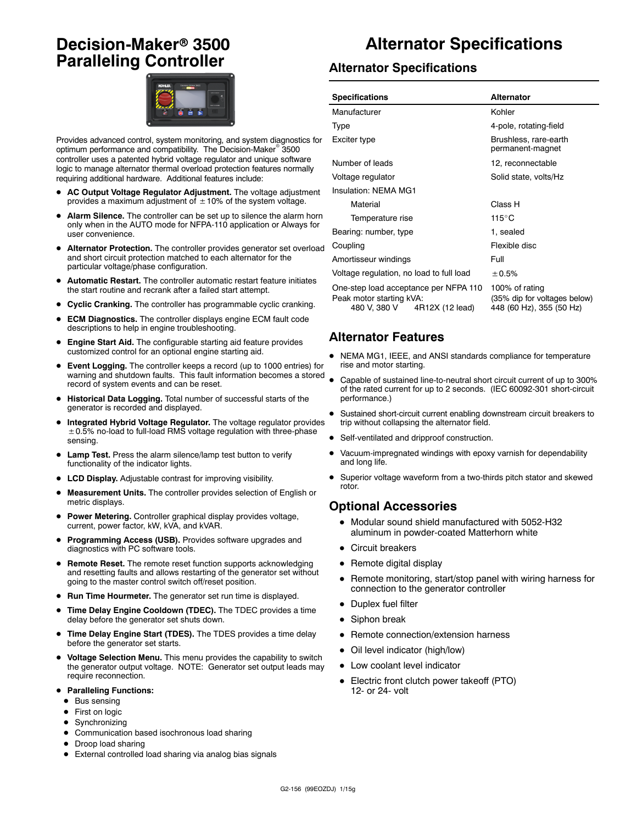# **Decision-Maker<sup>®</sup> 3500 Paralleling Controller**



Provides advanced control, system monitoring, and system diagnostics for optimum performance and compatibility. The Decision-Maker<sup>®</sup> 3500 controller uses a patented hybrid voltage regulator and unique software logic to manage alternator thermal overload protection features normally requiring additional hardware. Additional features include:

- AC Output Voltage Regulator Adjustment. The voltage adjustment provides a maximum adjustment of  $\pm$  10% of the system voltage.
- Alarm Silence. The controller can be set up to silence the alarm horn only when in the AUTO mode for NFPA-110 application or Always for user convenience.
- Alternator Protection. The controller provides generator set overload and short circuit protection matched to each alternator for the particular voltage/phase configuration.
- Automatic Restart. The controller automatic restart feature initiates the start routine and recrank after a failed start attempt.
- **Cyclic Cranking.** The controller has programmable cyclic cranking.
- **ECM Diagnostics.** The controller displays engine ECM fault code descriptions to help in engine troubleshooting.
- Engine Start Aid. The configurable starting aid feature provides customized control for an optional engine starting aid.
- **Event Logging.** The controller keeps a record (up to 1000 entries) for warning and shutdown faults. This fault information becomes a stored record of system events and can be reset.
- $\bullet$  Historical Data Logging. Total number of successful starts of the generator is recorded and displayed.
- Integrated Hybrid Voltage Regulator. The voltage regulator provides  $\pm$  0.5% no-load to full-load RMS voltage regulation with three-phase sensing.
- Lamp Test. Press the alarm silence/lamp test button to verify functionality of the indicator lights.
- LCD Display. Adjustable contrast for improving visibility.
- Measurement Units. The controller provides selection of English or metric displays.
- **Power Metering.** Controller graphical display provides voltage, current, power factor, kW, kVA, and kVAR.
- Programming Access (USB). Provides software upgrades and diagnostics with PC software tools.
- **Remote Reset.** The remote reset function supports acknowledging and resetting faults and allows restarting of the generator set without going to the master control switch off/reset position.
- Run Time Hourmeter. The generator set run time is displayed.
- **Time Delay Engine Cooldown (TDEC).** The TDEC provides a time delay before the generator set shuts down.
- Time Delay Engine Start (TDES). The TDES provides a time delay before the generator set starts.
- $\bullet$  Voltage Selection Menu. This menu provides the capability to switch the generator output voltage. NOTE: Generator set output leads may require reconnection.
- **Paralleling Functions:** 
	- $\bullet$  Bus sensing
	- First on logic
	- $\bullet$  Synchronizing
	- $\bullet$  Communication based isochronous load sharing
	- Droop load sharing
	- External controlled load sharing via analog bias signals

# **Alternator Specifications**

#### **Alternator Specifications**

| <b>Specifications</b>                                                                                | <b>Alternator</b>                                                          |  |
|------------------------------------------------------------------------------------------------------|----------------------------------------------------------------------------|--|
| Manufacturer                                                                                         | Kohler                                                                     |  |
| Type                                                                                                 | 4-pole, rotating-field                                                     |  |
| Exciter type                                                                                         | Brushless, rare-earth<br>permanent-magnet                                  |  |
| Number of leads                                                                                      | 12, reconnectable                                                          |  |
| Voltage regulator                                                                                    | Solid state, volts/Hz                                                      |  |
| Insulation: NFMA MG1                                                                                 |                                                                            |  |
| Material                                                                                             | Class H                                                                    |  |
| Temperature rise                                                                                     | $115^{\circ}$ C                                                            |  |
| Bearing: number, type                                                                                | 1. sealed                                                                  |  |
| Coupling                                                                                             | Flexible disc                                                              |  |
| Amortisseur windings                                                                                 | Full                                                                       |  |
| Voltage regulation, no load to full load                                                             | ± 0.5%                                                                     |  |
| One-step load acceptance per NFPA 110<br>Peak motor starting kVA:<br>480 V, 380 V<br>4R12X (12 lead) | 100% of rating<br>(35% dip for voltages below)<br>448 (60 Hz), 355 (50 Hz) |  |

#### **Alternator Features**

- NEMA MG1, IEEE, and ANSI standards compliance for temperature rise and motor starting.
- Capable of sustained line-to-neutral short circuit current of up to 300% of the rated current for up to 2 seconds. (IEC 60092-301 short-circuit performance.)
- Sustained short-circuit current enabling downstream circuit breakers to trip without collapsing the alternator field.
- Self-ventilated and dripproof construction.
- Vacuum-impregnated windings with epoxy varnish for dependability and long life.
- Superior voltage waveform from a two-thirds pitch stator and skewed rotor.

#### **Optional Accessories**

- $\bullet$  Modular sound shield manufactured with 5052-H32 aluminum in powder-coated Matterhorn white
- Circuit breakers
- $\bullet$  Remote digital display
- Remote monitoring, start/stop panel with wiring harness for connection to the generator controller
- Duplex fuel filter
- $\bullet$  Siphon break
- Remote connection/extension harness
- Oil level indicator (high/low)
- Low coolant level indicator
- Electric front clutch power takeoff (PTO) 12- or 24- volt